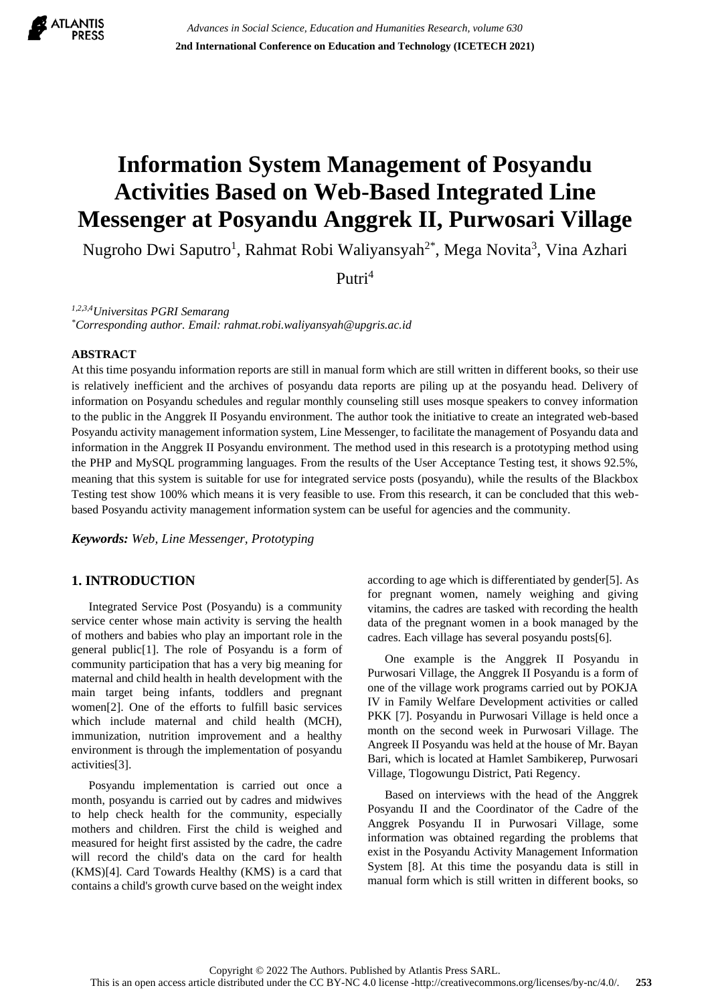

# **Information System Management of Posyandu Activities Based on Web-Based Integrated Line Messenger at Posyandu Anggrek II, Purwosari Village**

Nugroho Dwi Saputro<sup>1</sup>, Rahmat Robi Waliyansyah<sup>2\*</sup>, Mega Novita<sup>3</sup>, Vina Azhari

Putri<sup>4</sup>

*1,2,3,4Universitas PGRI Semarang*

*\*Corresponding author. Email: rahmat.robi.waliyansyah@upgris.ac.id*

#### **ABSTRACT**

At this time posyandu information reports are still in manual form which are still written in different books, so their use is relatively inefficient and the archives of posyandu data reports are piling up at the posyandu head. Delivery of information on Posyandu schedules and regular monthly counseling still uses mosque speakers to convey information to the public in the Anggrek II Posyandu environment. The author took the initiative to create an integrated web-based Posyandu activity management information system, Line Messenger, to facilitate the management of Posyandu data and information in the Anggrek II Posyandu environment. The method used in this research is a prototyping method using the PHP and MySQL programming languages. From the results of the User Acceptance Testing test, it shows 92.5%, meaning that this system is suitable for use for integrated service posts (posyandu), while the results of the Blackbox Testing test show 100% which means it is very feasible to use. From this research, it can be concluded that this webbased Posyandu activity management information system can be useful for agencies and the community.

*Keywords: Web, Line Messenger, Prototyping*

## **1. INTRODUCTION**

Integrated Service Post (Posyandu) is a community service center whose main activity is serving the health of mothers and babies who play an important role in the general public[1]. The role of Posyandu is a form of community participation that has a very big meaning for maternal and child health in health development with the main target being infants, toddlers and pregnant women[2]. One of the efforts to fulfill basic services which include maternal and child health (MCH), immunization, nutrition improvement and a healthy environment is through the implementation of posyandu activities[3].

Posyandu implementation is carried out once a month, posyandu is carried out by cadres and midwives to help check health for the community, especially mothers and children. First the child is weighed and measured for height first assisted by the cadre, the cadre will record the child's data on the card for health (KMS)[4]. Card Towards Healthy (KMS) is a card that contains a child's growth curve based on the weight index according to age which is differentiated by gender[5]. As for pregnant women, namely weighing and giving vitamins, the cadres are tasked with recording the health data of the pregnant women in a book managed by the cadres. Each village has several posyandu posts[6].

One example is the Anggrek II Posyandu in Purwosari Village, the Anggrek II Posyandu is a form of one of the village work programs carried out by POKJA IV in Family Welfare Development activities or called PKK [7]. Posyandu in Purwosari Village is held once a month on the second week in Purwosari Village. The Angreek II Posyandu was held at the house of Mr. Bayan Bari, which is located at Hamlet Sambikerep, Purwosari Village, Tlogowungu District, Pati Regency.

Based on interviews with the head of the Anggrek Posyandu II and the Coordinator of the Cadre of the Anggrek Posyandu II in Purwosari Village, some information was obtained regarding the problems that exist in the Posyandu Activity Management Information System [8]. At this time the posyandu data is still in manual form which is still written in different books, so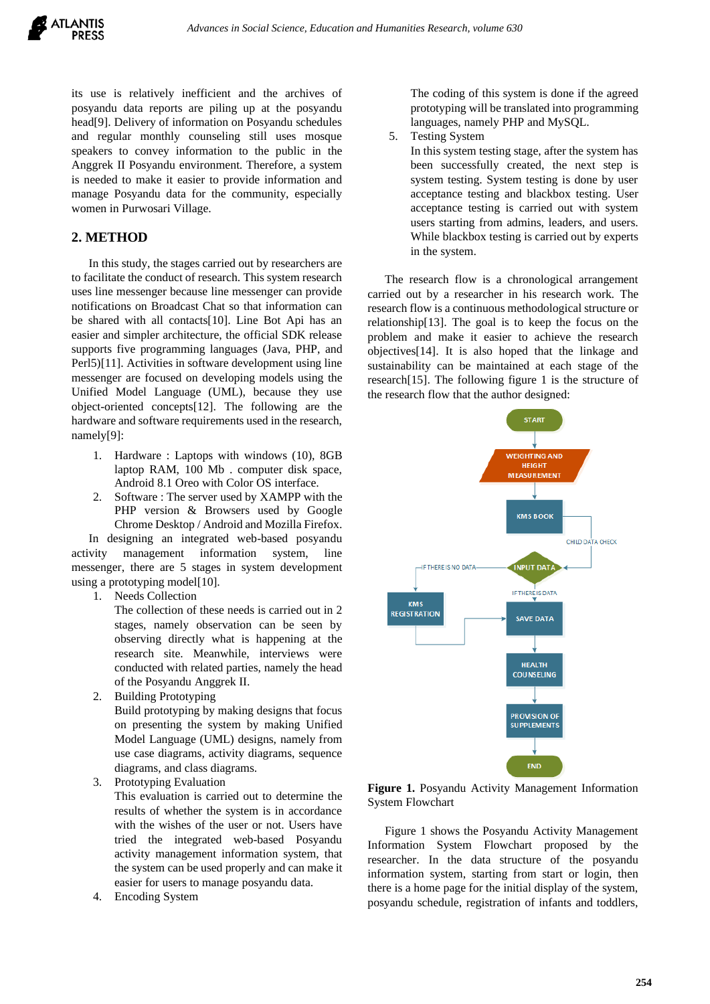its use is relatively inefficient and the archives of posyandu data reports are piling up at the posyandu head[9]. Delivery of information on Posyandu schedules and regular monthly counseling still uses mosque speakers to convey information to the public in the Anggrek II Posyandu environment. Therefore, a system is needed to make it easier to provide information and manage Posyandu data for the community, especially women in Purwosari Village.

#### **2. METHOD**

In this study, the stages carried out by researchers are to facilitate the conduct of research. This system research uses line messenger because line messenger can provide notifications on Broadcast Chat so that information can be shared with all contacts[10]. Line Bot Api has an easier and simpler architecture, the official SDK release supports five programming languages (Java, PHP, and Perl5)[11]. Activities in software development using line messenger are focused on developing models using the Unified Model Language (UML), because they use object-oriented concepts[12]. The following are the hardware and software requirements used in the research, namely[9]:

- 1. Hardware : Laptops with windows (10), 8GB laptop RAM, 100 Mb . computer disk space, Android 8.1 Oreo with Color OS interface.
- 2. Software : The server used by XAMPP with the PHP version & Browsers used by Google Chrome Desktop / Android and Mozilla Firefox.

In designing an integrated web-based posyandu activity management information system, line messenger, there are 5 stages in system development using a prototyping model[10].

1. Needs Collection

The collection of these needs is carried out in 2 stages, namely observation can be seen by observing directly what is happening at the research site. Meanwhile, interviews were conducted with related parties, namely the head of the Posyandu Anggrek II.

2. Building Prototyping

Build prototyping by making designs that focus on presenting the system by making Unified Model Language (UML) designs, namely from use case diagrams, activity diagrams, sequence diagrams, and class diagrams.

3. Prototyping Evaluation

This evaluation is carried out to determine the results of whether the system is in accordance with the wishes of the user or not. Users have tried the integrated web-based Posyandu activity management information system, that the system can be used properly and can make it easier for users to manage posyandu data.

4. Encoding System

The coding of this system is done if the agreed prototyping will be translated into programming languages, namely PHP and MySQL.

5. Testing System

In this system testing stage, after the system has been successfully created, the next step is system testing. System testing is done by user acceptance testing and blackbox testing. User acceptance testing is carried out with system users starting from admins, leaders, and users. While blackbox testing is carried out by experts in the system.

The research flow is a chronological arrangement carried out by a researcher in his research work. The research flow is a continuous methodological structure or relationship[13]. The goal is to keep the focus on the problem and make it easier to achieve the research objectives[14]. It is also hoped that the linkage and sustainability can be maintained at each stage of the research[15]. The following figure 1 is the structure of the research flow that the author designed:



**Figure 1.** Posyandu Activity Management Information System Flowchart

Figure 1 shows the Posyandu Activity Management Information System Flowchart proposed by the researcher. In the data structure of the posyandu information system, starting from start or login, then there is a home page for the initial display of the system, posyandu schedule, registration of infants and toddlers,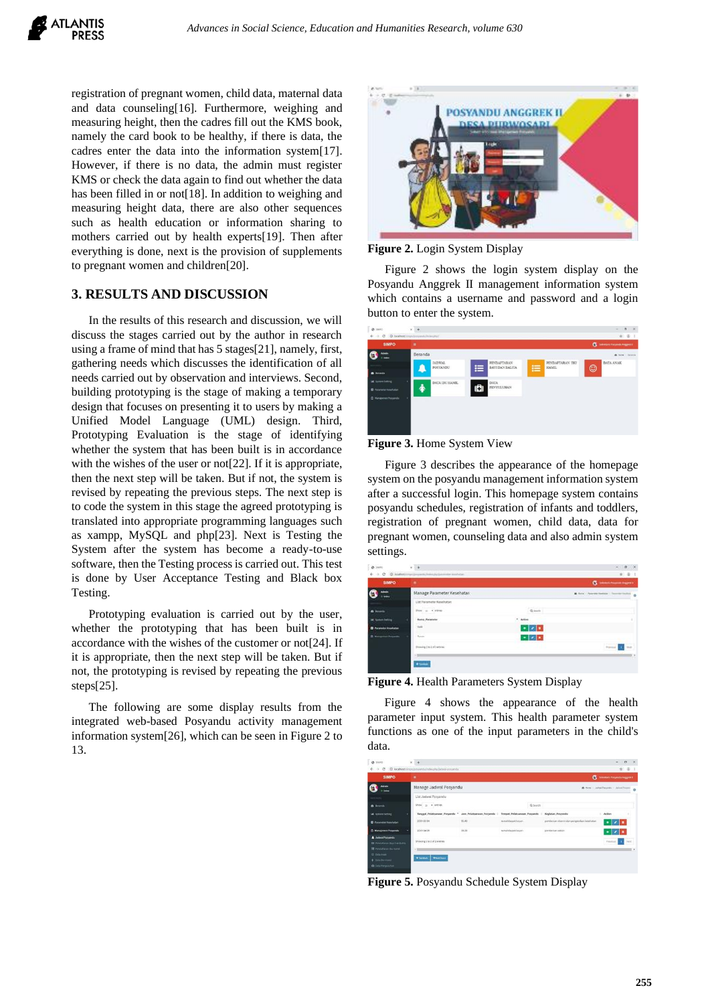registration of pregnant women, child data, maternal data and data counseling[16]. Furthermore, weighing and measuring height, then the cadres fill out the KMS book, namely the card book to be healthy, if there is data, the cadres enter the data into the information system[17]. However, if there is no data, the admin must register KMS or check the data again to find out whether the data has been filled in or not<sup>[18]</sup>. In addition to weighing and measuring height data, there are also other sequences such as health education or information sharing to mothers carried out by health experts[19]. Then after everything is done, next is the provision of supplements to pregnant women and children[20].

### **3. RESULTS AND DISCUSSION**

In the results of this research and discussion, we will discuss the stages carried out by the author in research using a frame of mind that has 5 stages[21], namely, first, gathering needs which discusses the identification of all needs carried out by observation and interviews. Second, building prototyping is the stage of making a temporary design that focuses on presenting it to users by making a Unified Model Language (UML) design. Third, Prototyping Evaluation is the stage of identifying whether the system that has been built is in accordance with the wishes of the user or not<sup>[22]</sup>. If it is appropriate, then the next step will be taken. But if not, the system is revised by repeating the previous steps. The next step is to code the system in this stage the agreed prototyping is translated into appropriate programming languages such as xampp, MySQL and php[23]. Next is Testing the System after the system has become a ready-to-use software, then the Testing process is carried out. This test is done by User Acceptance Testing and Black box Testing.

Prototyping evaluation is carried out by the user, whether the prototyping that has been built is in accordance with the wishes of the customer or not[24]. If it is appropriate, then the next step will be taken. But if not, the prototyping is revised by repeating the previous steps[25].

The following are some display results from the integrated web-based Posyandu activity management information system[26], which can be seen in Figure 2 to 13.



**Figure 2.** Login System Display

Figure 2 shows the login system display on the Posyandu Anggrek II management information system which contains a username and password and a login button to enter the system.

| 0.989                                                                                    | $\times$ +                                                                                                                   | $\alpha$<br>×<br>۰                  |
|------------------------------------------------------------------------------------------|------------------------------------------------------------------------------------------------------------------------------|-------------------------------------|
| $\leftarrow$ $\rightarrow$ $\sigma$ $\omega$ teachers through the probability of the sum |                                                                                                                              | 0.01                                |
| <b>SIMPO</b>                                                                             | ٠                                                                                                                            | <b>C</b> becomes responsive expects |
| <b>Admin</b><br><b>Links</b>                                                             | Beranda                                                                                                                      | W races / Beards                    |
|                                                                                          | PENDAFTARAN IBU<br><b>PENDAFTARAN</b><br><b>JADWAL</b><br>這<br>$\equiv$<br>BAYIDAN BALITA<br><b>HAMIL</b><br><b>POSYANDU</b> | <b>DATA ANAK</b>                    |
| <b>B</b> herauda                                                                         |                                                                                                                              | ☺                                   |
| <b>Int</b> System Setting                                                                | DATA<br>DATA IBU HAMIL                                                                                                       |                                     |
| <b>B</b> Parameter Kenefusian                                                            | 帝<br>A<br>PENYULUHAN                                                                                                         |                                     |
| <sup>C</sup> Managemen Prosyandie                                                        |                                                                                                                              |                                     |
|                                                                                          |                                                                                                                              |                                     |
|                                                                                          |                                                                                                                              |                                     |
|                                                                                          |                                                                                                                              |                                     |
|                                                                                          |                                                                                                                              |                                     |

#### **Figure 3.** Home System View

Figure 3 describes the appearance of the homepage system on the posyandu management information system after a successful login. This homepage system contains posyandu schedules, registration of infants and toddlers, registration of pregnant women, child data, data for pregnant women, counseling data and also admin system settings.

| <b>SIMPO</b>                  |                              |                         | <b>G</b> Headquarters                        |
|-------------------------------|------------------------------|-------------------------|----------------------------------------------|
| G                             | Manage Parameter Kesehatan   |                         | A first - Approximation - Thomas Indian<br>٠ |
|                               | List Farameter Kasehatan     |                         |                                              |
|                               | the a view                   | Green                   |                                              |
| of School Refiling            | <b>Bang Personne</b>         | $+$ axis                |                                              |
| <b>D</b> Parameter Mountainer | $\sim$                       | $+ z $                  |                                              |
| <b>B</b> National Projection  | how.                         | $\cdot$ $\cdot$ $\cdot$ |                                              |
|                               | <b>Browing (IN EMTIWEER)</b> |                         | $\sim$                                       |

**Figure 4.** Health Parameters System Display

Figure 4 shows the appearance of the health parameter input system. This health parameter system functions as one of the input parameters in the child's data.

| <b>SIMPO</b>                                                     | ۰                                                       |       |                             |                                            | <b>CE</b> Selectaria Pergando Anggres II |      |                |
|------------------------------------------------------------------|---------------------------------------------------------|-------|-----------------------------|--------------------------------------------|------------------------------------------|------|----------------|
| Admin<br><b>Diffuse</b>                                          | Manage Jadwal Posyandu                                  |       |                             |                                            | B. New - Jahid Reports - Jahrs/Royal     |      | $\ddot{\circ}$ |
|                                                                  | List Jadwal Posyandu                                    |       |                             |                                            |                                          |      |                |
| <b>B</b> Seconda                                                 | $5700 - 10$ . $+ 075105$                                |       | Q Search                    |                                            |                                          |      |                |
| lat System Setting                                               | Tanggal Pelaksanaan Posyandu * Jam Pelaksanaan Posyandu |       | Tempot Pelaksanaan Posyando | Keglatan Posyanda                          | $2$ . Action                             |      |                |
| <b>El</b> Paramuter Kesehatan                                    | 2013-01-14                                              | 15.40 | runnin bapak basen          | pemberian vitamin dan pengocekan kesehatan | ୵୲<br>∙⊩                                 |      |                |
| <b>B</b> Manajemen Perspando                                     | 3023-04-08                                              | 14.00 | riumah Bapak Insura         | prestantas vaksis.                         | ٠                                        |      |                |
| <b>A</b> Jadwid Polyandu<br><b>III</b> Pendaturun Basi Dan Balda | Showing 1 to 2 of 2 entries                             |       |                             |                                            | Previous                                 | Next |                |
| <b>IR</b> rendshaws for rand<br><b>C Digital</b>                 |                                                         |       |                             |                                            |                                          |      |                |
| <b>+ Dida Bu Hamil</b>                                           | +Tankuh +Haitikasi                                      |       |                             |                                            |                                          |      |                |
| <b>O</b> Data Person/June                                        |                                                         |       |                             |                                            |                                          |      |                |

**Figure 5.** Posyandu Schedule System Display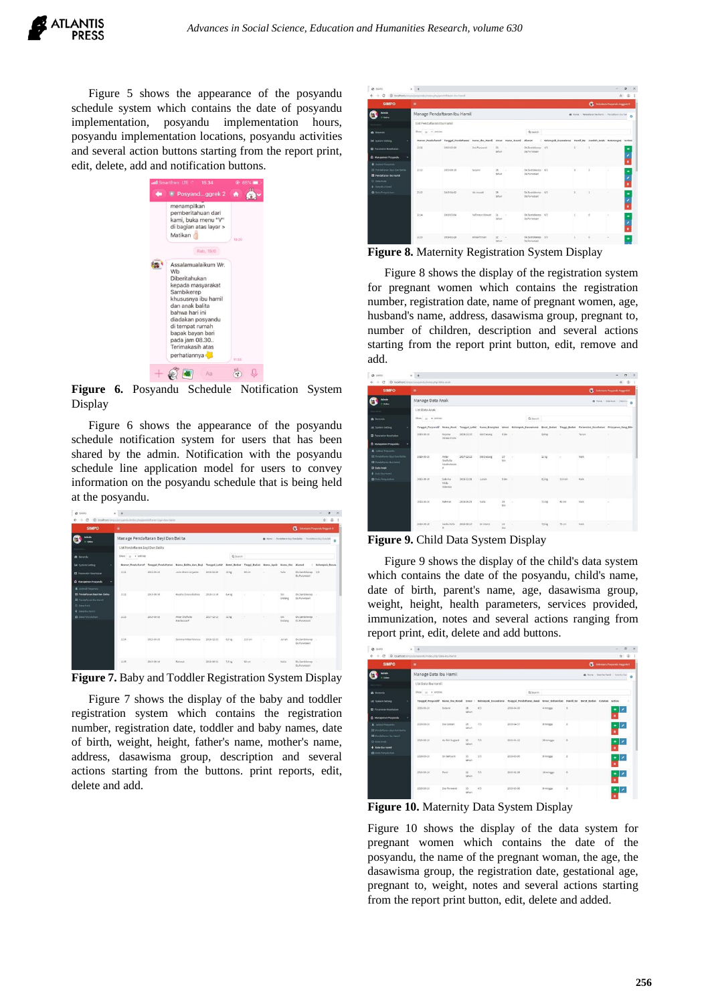Figure 5 shows the appearance of the posyandu schedule system which contains the date of posyandu implementation, posyandu implementation hours, posyandu implementation locations, posyandu activities and several action buttons starting from the report print, edit, delete, add and notification buttons.



**Figure 6.** Posyandu Schedule Notification System Display

Figure 6 shows the appearance of the posyandu schedule notification system for users that has been shared by the admin. Notification with the posyandu schedule line application model for users to convey information on the posyandu schedule that is being held at the posyandu.

| <b>CA</b> SAIRO                                              | ¥<br>×                                                        |            |                                                                                                                              |            |                   |       |        |               |                                                                  | $\alpha$       |
|--------------------------------------------------------------|---------------------------------------------------------------|------------|------------------------------------------------------------------------------------------------------------------------------|------------|-------------------|-------|--------|---------------|------------------------------------------------------------------|----------------|
| Ć                                                            | @ localhost/simps/posyands/index.php/pendattace-bay-dan-balla |            |                                                                                                                              |            |                   |       |        |               |                                                                  | 4.1<br>京       |
| <b>SIMPO</b>                                                 | ٠                                                             |            |                                                                                                                              |            |                   |       |        |               | <b>CE</b> Schlestans Polyambi Anggrik II                         |                |
| <b>Admin</b><br><b>Distance</b>                              | Manage Pendaftaran Bayi Dan Balita                            |            |                                                                                                                              |            |                   |       |        |               | @ Nove - Pendaltaran Kaul San Balifa - Pendaltaran Sayı Dan Bali | $\circ$        |
|                                                              | List Pendaftaran Bayi Dan Balita                              |            |                                                                                                                              |            |                   |       |        |               |                                                                  |                |
| <b><i>B. becards</i></b>                                     | Show is a entries                                             |            |                                                                                                                              |            | Q Search          |       |        |               |                                                                  |                |
| <b>IM</b> System Setting                                     |                                                               |            | Nomor_Pendaltaraf Tanggal_Pendaltaran Nama Balita_dan_Bayi Tanggal_Lahir Berat_Badan Tinggi_Badan Nama_Ayalt Nama the Alamat |            |                   |       |        |               |                                                                  | Kelompok Dasaw |
| <b>D</b> Passmake Keseliatan                                 | 1111                                                          | 2019-06-16 | Julio Alvaro Anvanto                                                                                                         | 2018-02-20 | $11\,\mathrm{kg}$ | 80 cm | ÷      | <b>Yulis</b>  | Dictambileren 5/3<br><b>Cri. Pursentain</b>                      |                |
| C Managemen Posyandu                                         |                                                               |            |                                                                                                                              |            |                   |       |        |               |                                                                  |                |
| A. Jadwal Provanda                                           |                                                               |            |                                                                                                                              |            |                   |       |        |               |                                                                  |                |
| <b>IS Pendaftaran Bavi Dan Builta</b><br>E redatagn bu Hamil | 1112                                                          | 2019-06-18 | Keysha Dinara Elchira                                                                                                        | 2018-11-16 | 6.4 kg            | ٠     | $\sim$ | 511<br>Endang | Dictambiance -<br>Dr. Purvishant                                 |                |
| C DISLANA                                                    |                                                               |            |                                                                                                                              |            |                   |       |        |               |                                                                  |                |
| + outs the Hamil                                             |                                                               |            |                                                                                                                              |            |                   |       |        |               |                                                                  |                |
| <b>D</b> . Data Finanzishan                                  | 2213                                                          | 2010-06-16 | Ahtar Shafkilla<br>Hautauzza P                                                                                               | 2017-02-13 | $11\,\mathrm{kg}$ | ÷     | z      | 55<br>Endang  | Dictambiliareo -<br>Dr. Purwosan's                               |                |
|                                                              | 1114                                                          | 2019-06-18 | Sabrina Milda Valencia                                                                                                       | 2016-12-31 | 6,2 kg            | 110cm | ÷      | Jurish.       | Dr.Sambikerep -<br><b>St.Purwotart</b>                           |                |
|                                                              | 1115                                                          | 2019-04-14 | Rahmat.                                                                                                                      | 2018-06-21 | 7.5 kg            | 82 cm |        | <b>Nalls</b>  | Dictambilisme -<br>Dr.Panworani                                  |                |

**Figure 7.** Baby and Toddler Registration System Display

Figure 7 shows the display of the baby and toddler registration system which contains the registration number, registration date, toddler and baby names, date of birth, weight, height, father's name, mother's name, address, dasawisma group, description and several actions starting from the buttons. print reports, edit, delete and add.

| -<br>c                                                           | @ locabost/impo/possindu/edecahoj/predatase-du-hand |                                                                             |                       |                 |    |                                   |                                                           |              |                                                   |          | ☆ ☆ ! |
|------------------------------------------------------------------|-----------------------------------------------------|-----------------------------------------------------------------------------|-----------------------|-----------------|----|-----------------------------------|-----------------------------------------------------------|--------------|---------------------------------------------------|----------|-------|
| <b>SIMPO</b>                                                     | ٠                                                   |                                                                             |                       |                 |    |                                   |                                                           |              | <b>CE</b> Selentaris Porgonda Anggrish II         |          |       |
| <b>Admin</b><br>o delle                                          | Manage Pendaftaran Ibu Hamil                        |                                                                             |                       |                 |    |                                   |                                                           |              | @ Home - Pentafacen Nu Pamil - Pendafteren by Ham |          | ٠     |
|                                                                  | List Pendaftaran Ibu Hamil                          |                                                                             |                       |                 |    |                                   |                                                           |              |                                                   |          |       |
| <b><i>a</i></b> fleranda                                         | Show 10 . whiles                                    |                                                                             |                       |                 |    | Q Search                          |                                                           |              |                                                   |          |       |
| <b>IAI</b> System Setting                                        |                                                     | Nomer Pendaltaraf Tanggal Pendaltaran Nama Ibu Hamil Umur Nama Suami Alamat |                       |                 |    |                                   | Kelompok Dasawisma Hamil Ke Jumlah Anak Keterangan Action |              |                                                   |          |       |
| <b>Q</b> Passmeter Kesehatan                                     | 2111                                                | 2019-05-06                                                                  | Dail Punicanti        | $22 -$<br>tahin |    | Di-Sanbikevo 4/3<br>DLPursings1   |                                                           |              |                                                   | $\sim$   |       |
| C Manajemen Posyando                                             |                                                     |                                                                             |                       |                 |    |                                   |                                                           |              |                                                   |          |       |
| <b>A</b> Jadeal Penanda                                          |                                                     |                                                                             |                       |                 |    |                                   |                                                           |              |                                                   |          |       |
| III Pendataran Bay Dan Balita<br><b>EE</b> Pendaftaran ibu Hamil | 2112                                                | 2015-06-16                                                                  | Sidarei               | 28<br>tahun     |    | Di Sambilenco 8/3<br>DL/horwagen  |                                                           | $\mathbf{r}$ | $\mathbf{A}$                                      | ٠        |       |
| C Data Anale                                                     |                                                     |                                                                             |                       |                 |    |                                   |                                                           |              |                                                   |          |       |
| + Data Romanni                                                   |                                                     |                                                                             |                       |                 |    |                                   |                                                           |              |                                                   |          |       |
| <b>D</b> Dida Periodisham                                        | 2113                                                | 2010/04/02                                                                  | Ma Irawatt            | 28.<br>tabun    |    | Dk.Samblkerep 8/3<br>Dr.Porwosan  |                                                           |              |                                                   | ×        |       |
|                                                                  |                                                     |                                                                             |                       |                 |    |                                   |                                                           |              |                                                   |          |       |
|                                                                  | 2134                                                | 2015-03-04                                                                  | Nafirotun Niswah.     | 21              | 14 | Di Samblianto 6/3                 |                                                           | x.           | o.                                                | $\alpha$ |       |
|                                                                  |                                                     |                                                                             |                       | tahun           |    | <b>OL/NYWONA</b> 1                |                                                           |              |                                                   |          |       |
|                                                                  |                                                     |                                                                             |                       |                 |    |                                   |                                                           |              |                                                   |          |       |
|                                                                  | 2213                                                | 2018-02-28                                                                  | <b>Anisa Fitriani</b> | 22<br>tahun.    |    | Dk.Sambikerep 5/3<br>Di Picwolari |                                                           |              | ö                                                 |          |       |

**Figure 8.** Maternity Registration System Display

Figure 8 shows the display of the registration system for pregnant women which contains the registration number, registration date, name of pregnant women, age, husband's name, address, dasawisma group, pregnant to, number of children, description and several actions starting from the report print button, edit, remove and add.

| c                                                          | @ tocalhost/simps/possedu/edita.php/data-anak |                                     |            |               |                  |                                                                                                                                                   |        |         |          | ☆ ②                                         |
|------------------------------------------------------------|-----------------------------------------------|-------------------------------------|------------|---------------|------------------|---------------------------------------------------------------------------------------------------------------------------------------------------|--------|---------|----------|---------------------------------------------|
| <b>SIMPO</b>                                               | ٠                                             |                                     |            |               |                  |                                                                                                                                                   |        |         |          | <b>CE</b> Schridam Polyandi Anggrist II     |
| <b>Admin</b><br><b>Codes</b>                               | Manage Data Anak                              |                                     |            |               |                  |                                                                                                                                                   |        |         |          | <b>65 Hone Detences Detailed</b><br>$\circ$ |
|                                                            | List Data Anak                                |                                     |            |               |                  |                                                                                                                                                   |        |         |          |                                             |
| <b>B</b> Bronda                                            | Show 12 v entries                             |                                     |            |               |                  | Q Search                                                                                                                                          |        |         |          |                                             |
| (at System Setting)<br>٠                                   |                                               |                                     |            |               |                  | Tanggal Poryandr Nama Anak Tanggal Labir Nama Oranglasi Umur Kelompok Dasawiensi Berat Badan Tinggi Badan Parameter Kesehatan Petayanan Yang Dibe |        |         |          |                                             |
| <b>D</b> Parameter Kesehatan                               | 2019-06-16                                    | Keyota<br>Dinata Elcira             | 2036-11-08 | Sil Endang    | 6361             | - 1                                                                                                                                               | 6,4 kg | ÷       | Turney   | ×                                           |
| <b>C</b> Manajemen Posyandu                                |                                               |                                     |            |               |                  |                                                                                                                                                   |        |         |          |                                             |
| A. Jadwid Prevanchi                                        |                                               |                                     |            |               |                  |                                                                                                                                                   |        |         |          |                                             |
| III Pendaturan Bayi Dan Balifar<br>图 Pendataran Buildereil | 2019-06-16                                    | ANM<br><b>Challed</b>               | 2017-12-13 | Stribhdang    | 27<br>bin        | $\sim$                                                                                                                                            | 31kg   | $\sim$  | Natk.    | ×                                           |
| Children Anale                                             |                                               | <b>Hadahara</b><br>٠                |            |               |                  |                                                                                                                                                   |        |         |          |                                             |
| <b>4</b> Entitle Rochbarol                                 |                                               |                                     |            |               |                  |                                                                                                                                                   |        |         |          |                                             |
| O folk Percedutors                                         | 2010-06-16                                    | Sabrina<br><b>Hilds</b><br>Valensia | 2018-12-31 | <b>Jurish</b> | $5\,h\text{m}$ - |                                                                                                                                                   | 8.3 kg | 110 cm  | Natk     |                                             |
|                                                            | 2019-06-16                                    | <b>Rahmat</b>                       | 2018-06-21 | Nalla         | 25<br>bin        | i.                                                                                                                                                | 7,5 kg | 82 cm   | NAW.     | ı.                                          |
|                                                            | 2010-06-16                                    | <b>Nadia Acity</b>                  | 2018-06-00 | SOURING       | 22<br>h/m        | ×                                                                                                                                                 | 7.5 kg | $75$ cm | National | i.                                          |

**Figure 9.** Child Data System Display

Figure 9 shows the display of the child's data system which contains the date of the posyandu, child's name, date of birth, parent's name, age, dasawisma group, weight, height, health parameters, services provided, immunization, notes and several actions ranging from report print, edit, delete and add buttons.

| @ samo                                                                                | $\times$ +                                          |                   |              |                                                                                                                                              |            |          |            |                |  | $\sim$                                 | $\sigma$<br>$\dot{\mathbf{x}}$ |
|---------------------------------------------------------------------------------------|-----------------------------------------------------|-------------------|--------------|----------------------------------------------------------------------------------------------------------------------------------------------|------------|----------|------------|----------------|--|----------------------------------------|--------------------------------|
| $\alpha$<br>$\rightarrow$<br>e.                                                       | @ localbost/simpo/posyandu/index.php/data-ibu-hamil |                   |              |                                                                                                                                              |            |          |            |                |  |                                        | ☆ ● 1                          |
| <b>SIMPO</b>                                                                          | ٠                                                   |                   |              |                                                                                                                                              |            |          |            |                |  | Constant Propositi Anggrek II          |                                |
| Admin<br>Il Oder                                                                      | Manage Data Ibu Hamil                               |                   |              |                                                                                                                                              |            |          |            |                |  | B Home - Data Recitated - Data Burling | $\circ$                        |
|                                                                                       | List Data Ibu Hamil                                 |                   |              |                                                                                                                                              |            |          |            |                |  |                                        |                                |
| <b>B</b> teranta                                                                      | Show 10 . entries                                   |                   |              |                                                                                                                                              |            | Q Search |            |                |  |                                        |                                |
| M. System Setting                                                                     |                                                     |                   |              | Tanggal Posyandr . Nama thu Hamil Umur   Kelompok Dasawluma  Tanggal Pendaftaran Awal Umur Kehamilan  Hamil Ke  Berat Badan  Catatan  Action |            |          |            |                |  |                                        |                                |
| <b>CI</b> Parameter Kesehatan                                                         | 2016-05-16                                          | Sutanni           | 28<br>tahun  | 8/3                                                                                                                                          | 2014-06-30 |          | 4 minggy   | $\overline{1}$ |  | ٠                                      |                                |
| <b>C. Managemen Polyandy</b>                                                          |                                                     |                   |              |                                                                                                                                              |            |          |            |                |  | ۰                                      |                                |
| <b>A</b> Jadwid Penyandia<br>III Fendalteran itayi Dan Balda<br>图 Pendatakan bu Hamil | 2010-06-16                                          | Divi Lestan       | 28<br>tahuis | 7/3                                                                                                                                          | 2019-04-17 |          | # minggu   | $\mathbf{z}$   |  | ∙                                      |                                |
| O cata Anat<br>+ Data thu Homil                                                       | 2015-06-16                                          | Ita Rini Suglarti | 35<br>tahun  | 7/3                                                                                                                                          | 3009-01-12 |          | 20 minutes | ö              |  | ٠<br>۰<br>٠                            |                                |
| <b>Q</b> Gata Pennsylvitan                                                            | 2019-06-16                                          | Sri Hahvuni       | 35<br>tatun  | 1/3                                                                                                                                          | 2019-05-06 |          | 8 minger   | $\overline{z}$ |  | ≘<br>٠                                 |                                |
|                                                                                       | 2010-06-16                                          | Partic            | 22<br>tahun  | 7/3                                                                                                                                          | 2015 02-28 |          | 10 minger  | $\alpha$       |  | Ξ<br>$\overline{\phantom{a}}$<br>٠     |                                |
|                                                                                       | 2019-05-16                                          | Dwi Punwanti      | 33.<br>tabum | 4/3                                                                                                                                          | 2019-05-06 |          | 8 mingps   | $\circ$        |  | ٠<br>٠                                 |                                |

**Figure 10.** Maternity Data System Display

Figure 10 shows the display of the data system for pregnant women which contains the date of the posyandu, the name of the pregnant woman, the age, the dasawisma group, the registration date, gestational age, pregnant to, weight, notes and several actions starting from the report print button, edit, delete and added.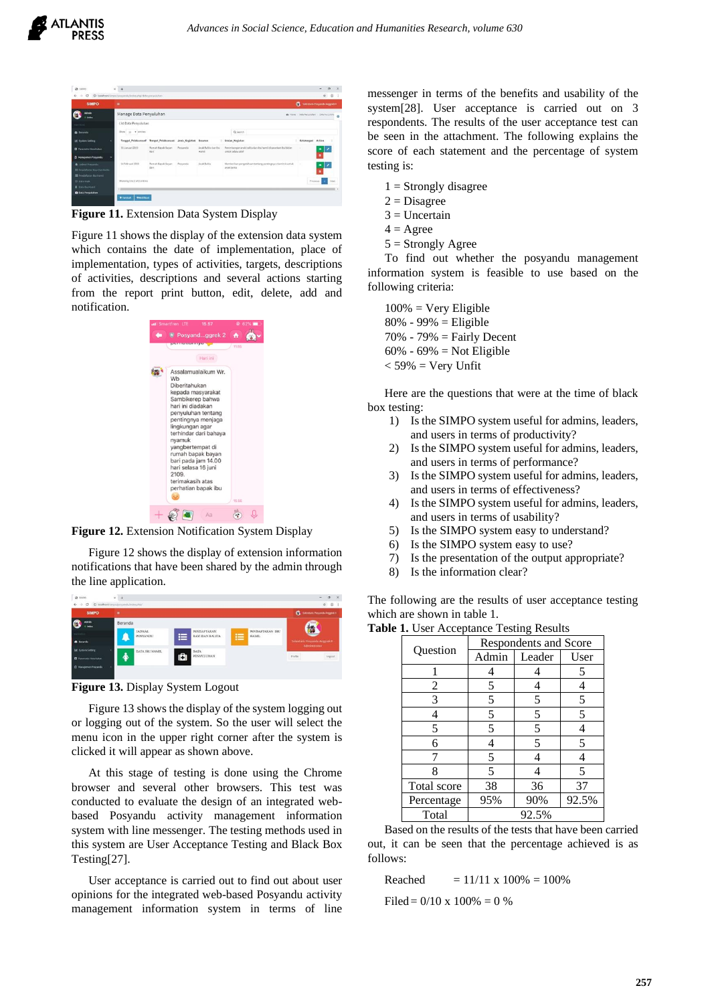| <b>SIMPO</b>                                                                                  | ٠                           |                                                                 |           |                                 |             |                                                                                  | Sciences Possedu Argenti II    |    |      |
|-----------------------------------------------------------------------------------------------|-----------------------------|-----------------------------------------------------------------|-----------|---------------------------------|-------------|----------------------------------------------------------------------------------|--------------------------------|----|------|
| <b>Admin</b><br>0 delive                                                                      | Manage Data Penyuluhan      |                                                                 |           |                                 |             |                                                                                  | Britan Dichristier Dichronin O |    |      |
|                                                                                               | List Data Penyuluhan        |                                                                 |           |                                 |             |                                                                                  |                                |    |      |
| <b>B</b> bronds                                                                               | Show 10 . winning           |                                                                 |           |                                 |             | Q search                                                                         |                                |    |      |
| <b>IM</b> System Setting                                                                      |                             | Tanggal, Pelaksanaan Tempat, Pelaksanaan Jenis Kegiatan Sasaran |           |                                 |             | Uralan Keekstan                                                                  | Keteranzan Action              |    |      |
| <b>D</b> Parameter Kesehatan<br><b>C</b> Manajemen Posyandu<br>٠                              | 10 Januari 2019             | Rumah Bapak Bayan<br>Rant                                       | Pencentia | Analy Rufilla dan Briz<br>Hamil |             | Penimbangan anak balita dan ibu hamil disatankan ibu bidan<br>untuk salalu aktif | ×                              | ٠  |      |
| A Jadval Freyands<br><b>III</b> Pendaltaran Keyi Dan Balifa<br><b>18 Pendaturan Buildered</b> | 14 Februari 2019            | Rumah Bapak Bayan<br>Barr                                       | Pencandia | <b>Anak Rollita</b>             | anak balita | Memberikan pengetahuan tentang pentingnya vitamin A yatuk                        | ×                              | ∙⊥ |      |
| O Dista Anak<br><b>4</b> Data Bureaux                                                         | Showing 1 to 2 of 2 entries |                                                                 |           |                                 |             |                                                                                  | President                      |    | Note |
| <b>Q</b> Data Penyahahan                                                                      |                             |                                                                 |           |                                 |             |                                                                                  |                                |    |      |

**Figure 11.** Extension Data System Display

Figure 11 shows the display of the extension data system which contains the date of implementation, place of implementation, types of activities, targets, descriptions of activities, descriptions and several actions starting from the report print button, edit, delete, add and notification.



**Figure 12.** Extension Notification System Display

Figure 12 shows the display of extension information notifications that have been shared by the admin through the line application.



**Figure 13.** Display System Logout

Figure 13 shows the display of the system logging out or logging out of the system. So the user will select the menu icon in the upper right corner after the system is clicked it will appear as shown above.

At this stage of testing is done using the Chrome browser and several other browsers. This test was conducted to evaluate the design of an integrated webbased Posyandu activity management information system with line messenger. The testing methods used in this system are User Acceptance Testing and Black Box Testing[27].

User acceptance is carried out to find out about user opinions for the integrated web-based Posyandu activity management information system in terms of line messenger in terms of the benefits and usability of the system[28]. User acceptance is carried out on 3 respondents. The results of the user acceptance test can be seen in the attachment. The following explains the score of each statement and the percentage of system testing is:

- $1 =$  Strongly disagree
- $2 = Disagree$
- $3 =$  Uncertain
- $4 = \text{Agree}$
- $5 =$  Strongly Agree

To find out whether the posyandu management information system is feasible to use based on the following criteria:

 $100\%$  = Very Eligible 80% - 99% = Eligible 70% - 79% = Fairly Decent 60% - 69% = Not Eligible  $<$  59% = Very Unfit

Here are the questions that were at the time of black box testing:

- 1) Is the SIMPO system useful for admins, leaders, and users in terms of productivity?
- 2) Is the SIMPO system useful for admins, leaders, and users in terms of performance?
- 3) Is the SIMPO system useful for admins, leaders, and users in terms of effectiveness?
- 4) Is the SIMPO system useful for admins, leaders, and users in terms of usability?
- 5) Is the SIMPO system easy to understand?
- 6) Is the SIMPO system easy to use?
- 7) Is the presentation of the output appropriate?
- 8) Is the information clear?

The following are the results of user acceptance testing which are shown in table 1.

|  | Table 1. User Acceptance Testing Results |  |
|--|------------------------------------------|--|
|  |                                          |  |

|             |       | <b>Respondents and Score</b> |       |  |  |  |  |  |
|-------------|-------|------------------------------|-------|--|--|--|--|--|
| Question    | Admin | Leader                       | User  |  |  |  |  |  |
|             |       |                              | 5     |  |  |  |  |  |
| 2           | 5     |                              |       |  |  |  |  |  |
| 3           | 5     | 5                            | 5     |  |  |  |  |  |
| 4           | 5     | 5                            | 5     |  |  |  |  |  |
| 5           | 5     | 5                            | 4     |  |  |  |  |  |
| 6           | 4     | 5                            | 5     |  |  |  |  |  |
|             | 5     | 4                            | 4     |  |  |  |  |  |
| 8           | 5     |                              | 5     |  |  |  |  |  |
| Total score | 38    | 36                           | 37    |  |  |  |  |  |
| Percentage  | 95%   | 90%                          | 92.5% |  |  |  |  |  |
| Total       |       | 92.5%                        |       |  |  |  |  |  |

Based on the results of the tests that have been carried out, it can be seen that the percentage achieved is as follows:

Reached  $= 11/11 \times 100\% = 100\%$ 

Filed =  $0/10 \times 100\% = 0\%$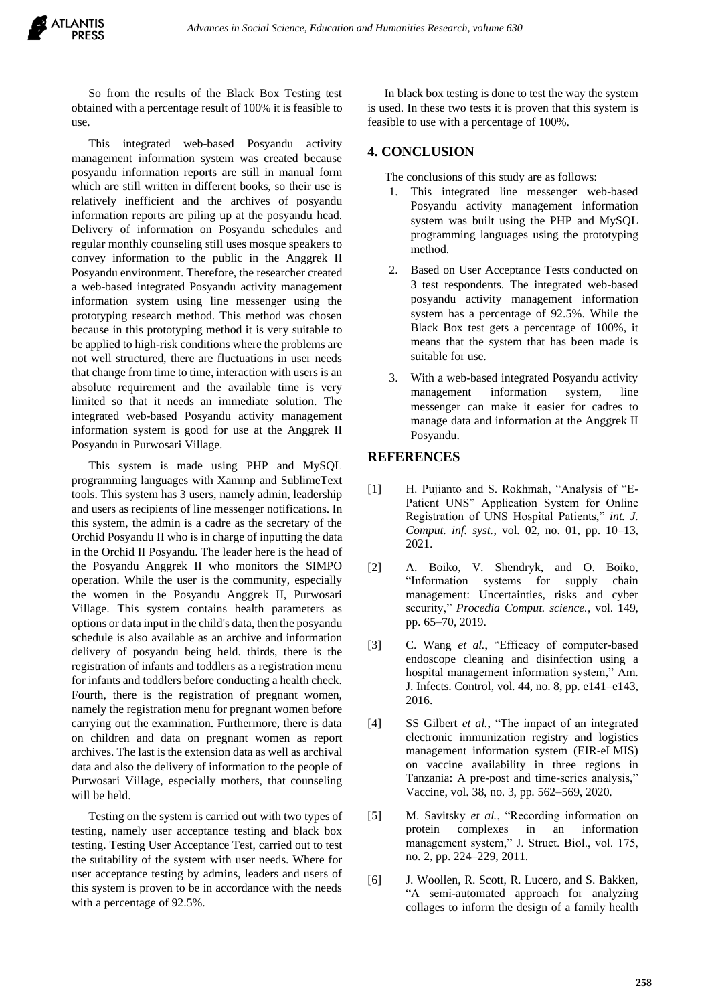So from the results of the Black Box Testing test obtained with a percentage result of 100% it is feasible to use.

This integrated web-based Posyandu activity management information system was created because posyandu information reports are still in manual form which are still written in different books, so their use is relatively inefficient and the archives of posyandu information reports are piling up at the posyandu head. Delivery of information on Posyandu schedules and regular monthly counseling still uses mosque speakers to convey information to the public in the Anggrek II Posyandu environment. Therefore, the researcher created a web-based integrated Posyandu activity management information system using line messenger using the prototyping research method. This method was chosen because in this prototyping method it is very suitable to be applied to high-risk conditions where the problems are not well structured, there are fluctuations in user needs that change from time to time, interaction with users is an absolute requirement and the available time is very limited so that it needs an immediate solution. The integrated web-based Posyandu activity management information system is good for use at the Anggrek II Posyandu in Purwosari Village.

This system is made using PHP and MySQL programming languages with Xammp and SublimeText tools. This system has 3 users, namely admin, leadership and users as recipients of line messenger notifications. In this system, the admin is a cadre as the secretary of the Orchid Posyandu II who is in charge of inputting the data in the Orchid II Posyandu. The leader here is the head of the Posyandu Anggrek II who monitors the SIMPO operation. While the user is the community, especially the women in the Posyandu Anggrek II, Purwosari Village. This system contains health parameters as options or data input in the child's data, then the posyandu schedule is also available as an archive and information delivery of posyandu being held. thirds, there is the registration of infants and toddlers as a registration menu for infants and toddlers before conducting a health check. Fourth, there is the registration of pregnant women, namely the registration menu for pregnant women before carrying out the examination. Furthermore, there is data on children and data on pregnant women as report archives. The last is the extension data as well as archival data and also the delivery of information to the people of Purwosari Village, especially mothers, that counseling will be held.

Testing on the system is carried out with two types of testing, namely user acceptance testing and black box testing. Testing User Acceptance Test, carried out to test the suitability of the system with user needs. Where for user acceptance testing by admins, leaders and users of this system is proven to be in accordance with the needs with a percentage of 92.5%.

In black box testing is done to test the way the system is used. In these two tests it is proven that this system is feasible to use with a percentage of 100%.

#### **4. CONCLUSION**

The conclusions of this study are as follows:

- 1. This integrated line messenger web-based Posyandu activity management information system was built using the PHP and MySQL programming languages using the prototyping method.
- 2. Based on User Acceptance Tests conducted on 3 test respondents. The integrated web-based posyandu activity management information system has a percentage of 92.5%. While the Black Box test gets a percentage of 100%, it means that the system that has been made is suitable for use.
- 3. With a web-based integrated Posyandu activity management information system, line messenger can make it easier for cadres to manage data and information at the Anggrek II Posyandu.

### **REFERENCES**

- [1] H. Pujianto and S. Rokhmah, "Analysis of "E-Patient UNS" Application System for Online Registration of UNS Hospital Patients," *int. J. Comput. inf. syst.*, vol. 02, no. 01, pp. 10–13, 2021.
- [2] A. Boiko, V. Shendryk, and O. Boiko, "Information systems for supply chain management: Uncertainties, risks and cyber security," *Procedia Comput. science.*, vol. 149, pp. 65–70, 2019.
- [3] C. Wang *et al.*, "Efficacy of computer-based endoscope cleaning and disinfection using a hospital management information system," Am. J. Infects. Control, vol. 44, no. 8, pp. e141–e143, 2016.
- [4] SS Gilbert *et al.*, "The impact of an integrated electronic immunization registry and logistics management information system (EIR-eLMIS) on vaccine availability in three regions in Tanzania: A pre-post and time-series analysis," Vaccine, vol. 38, no. 3, pp. 562–569, 2020.
- [5] M. Savitsky *et al.*, "Recording information on protein complexes in an information management system," J. Struct. Biol., vol. 175, no. 2, pp. 224–229, 2011.
- [6] J. Woollen, R. Scott, R. Lucero, and S. Bakken, "A semi-automated approach for analyzing collages to inform the design of a family health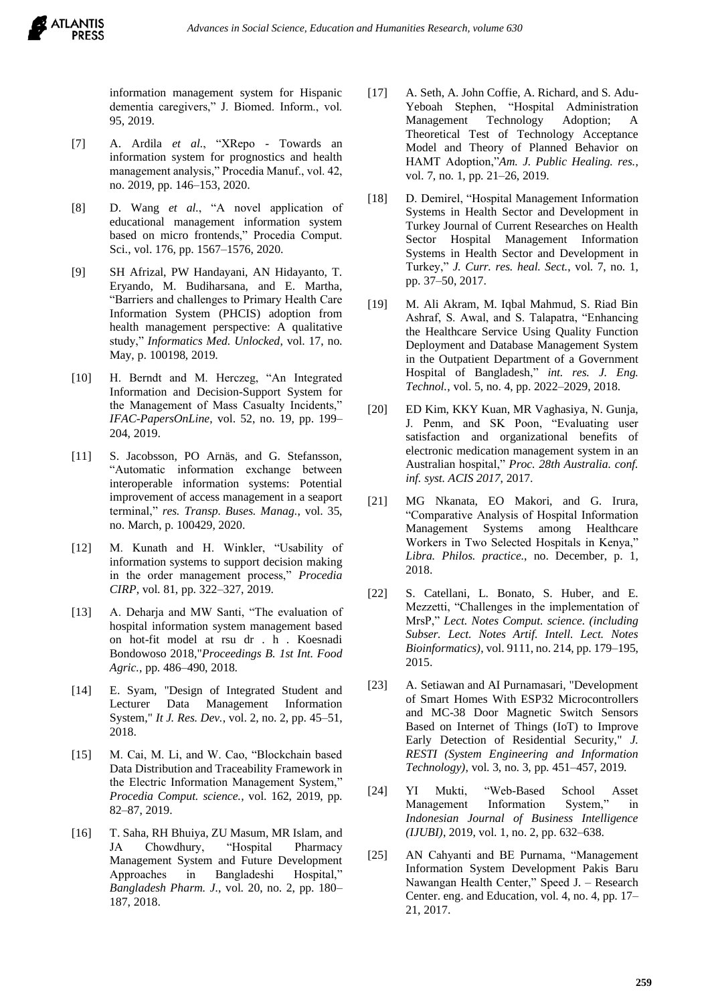**ATLANTIS** 

information management system for Hispanic dementia caregivers," J. Biomed. Inform., vol. 95, 2019.

- [7] A. Ardila *et al.*, "XRepo Towards an information system for prognostics and health management analysis," Procedia Manuf., vol. 42, no. 2019, pp. 146–153, 2020.
- [8] D. Wang *et al.*, "A novel application of educational management information system based on micro frontends," Procedia Comput. Sci., vol. 176, pp. 1567–1576, 2020.
- [9] SH Afrizal, PW Handayani, AN Hidayanto, T. Eryando, M. Budiharsana, and E. Martha, "Barriers and challenges to Primary Health Care Information System (PHCIS) adoption from health management perspective: A qualitative study," *Informatics Med. Unlocked*, vol. 17, no. May, p. 100198, 2019.
- [10] H. Berndt and M. Herczeg, "An Integrated Information and Decision-Support System for the Management of Mass Casualty Incidents," *IFAC-PapersOnLine*, vol. 52, no. 19, pp. 199– 204, 2019.
- [11] S. Jacobsson, PO Arnäs, and G. Stefansson, "Automatic information exchange between interoperable information systems: Potential improvement of access management in a seaport terminal," *res. Transp. Buses. Manag.*, vol. 35, no. March, p. 100429, 2020.
- [12] M. Kunath and H. Winkler, "Usability of information systems to support decision making in the order management process," *Procedia CIRP*, vol. 81, pp. 322–327, 2019.
- [13] A. Deharja and MW Santi, "The evaluation of hospital information system management based on hot-fit model at rsu dr . h . Koesnadi Bondowoso 2018,"*Proceedings B. 1st Int. Food Agric.*, pp. 486–490, 2018.
- [14] E. Syam, "Design of Integrated Student and Lecturer Data Management Information System," *It J. Res. Dev.*, vol. 2, no. 2, pp. 45–51, 2018.
- [15] M. Cai, M. Li, and W. Cao, "Blockchain based Data Distribution and Traceability Framework in the Electric Information Management System," *Procedia Comput. science.*, vol. 162, 2019, pp. 82–87, 2019.
- [16] T. Saha, RH Bhuiya, ZU Masum, MR Islam, and JA Chowdhury, "Hospital Pharmacy Management System and Future Development Approaches in Bangladeshi Hospital," *Bangladesh Pharm. J.*, vol. 20, no. 2, pp. 180– 187, 2018.
- [17] A. Seth, A. John Coffie, A. Richard, and S. Adu-Yeboah Stephen, "Hospital Administration Management Technology Adoption; A Theoretical Test of Technology Acceptance Model and Theory of Planned Behavior on HAMT Adoption,"*Am. J. Public Healing. res.*, vol. 7, no. 1, pp. 21–26, 2019.
- [18] D. Demirel, "Hospital Management Information Systems in Health Sector and Development in Turkey Journal of Current Researches on Health Sector Hospital Management Information Systems in Health Sector and Development in Turkey," *J. Curr. res. heal. Sect.*, vol. 7, no. 1, pp. 37–50, 2017.
- [19] M. Ali Akram, M. Iqbal Mahmud, S. Riad Bin Ashraf, S. Awal, and S. Talapatra, "Enhancing the Healthcare Service Using Quality Function Deployment and Database Management System in the Outpatient Department of a Government Hospital of Bangladesh," *int. res. J. Eng. Technol.*, vol. 5, no. 4, pp. 2022–2029, 2018.
- [20] ED Kim, KKY Kuan, MR Vaghasiya, N. Gunja, J. Penm, and SK Poon, "Evaluating user satisfaction and organizational benefits of electronic medication management system in an Australian hospital," *Proc. 28th Australia. conf. inf. syst. ACIS 2017*, 2017.
- [21] MG Nkanata, EO Makori, and G. Irura, "Comparative Analysis of Hospital Information Management Systems among Healthcare Workers in Two Selected Hospitals in Kenya," *Libra. Philos. practice.*, no. December, p. 1, 2018.
- [22] S. Catellani, L. Bonato, S. Huber, and E. Mezzetti, "Challenges in the implementation of MrsP," *Lect. Notes Comput. science. (including Subser. Lect. Notes Artif. Intell. Lect. Notes Bioinformatics)*, vol. 9111, no. 214, pp. 179–195, 2015.
- [23] A. Setiawan and AI Purnamasari, "Development of Smart Homes With ESP32 Microcontrollers and MC-38 Door Magnetic Switch Sensors Based on Internet of Things (IoT) to Improve Early Detection of Residential Security," *J. RESTI (System Engineering and Information Technology)*, vol. 3, no. 3, pp. 451–457, 2019.
- [24] YI Mukti, "Web-Based School Asset Management Information System," in *Indonesian Journal of Business Intelligence (IJUBI)*, 2019, vol. 1, no. 2, pp. 632–638.
- [25] AN Cahyanti and BE Purnama, "Management Information System Development Pakis Baru Nawangan Health Center," Speed J. – Research Center. eng. and Education, vol. 4, no. 4, pp. 17– 21, 2017.